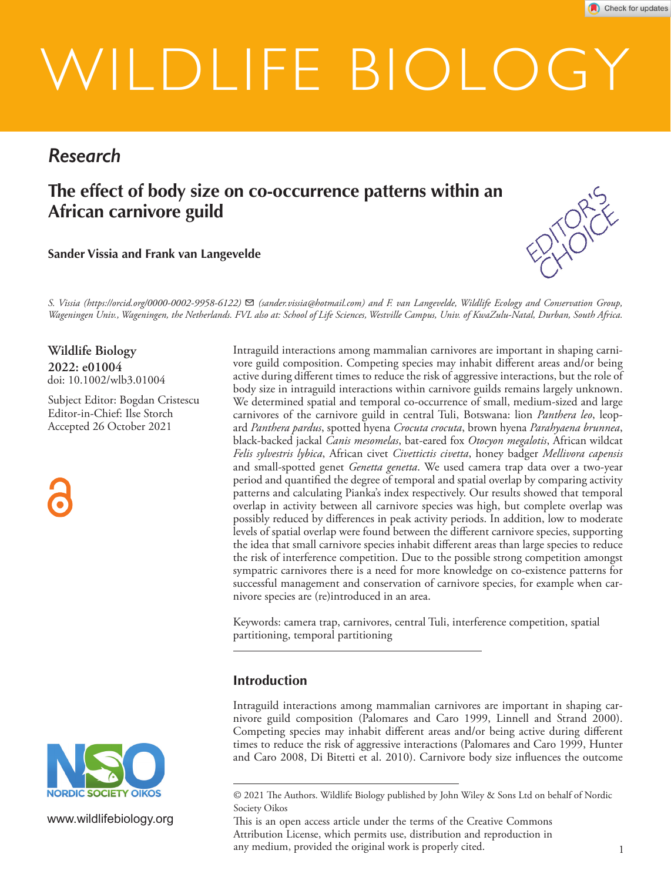# WILDLIFE BIOLOGY

# *Research*

**The effect of body size on co-occurrence patterns within an African carnivore guild**

**Sander Vissia and Frank van Langevelde**



*S. Vissia (https://orcid.org/0000-0002-9958-6122)* ✉ *(sander.vissia@hotmail.com) and F. van Langevelde, Wildlife Ecology and Conservation Group, Wageningen Univ., Wageningen, the Netherlands. FVL also at: School of Life Sciences, Westville Campus, Univ. of KwaZulu-Natal, Durban, South Africa.*

**2022: e01004** doi: 10.1002/wlb3.01004 **Wildlife Biology**

Subject Editor: Bogdan Cristescu Editor-in-Chief: Ilse Storch Accepted 26 October 2021



Intraguild interactions among mammalian carnivores are important in shaping carnivore guild composition. Competing species may inhabit different areas and/or being active during different times to reduce the risk of aggressive interactions, but the role of body size in intraguild interactions within carnivore guilds remains largely unknown. We determined spatial and temporal co-occurrence of small, medium-sized and large carnivores of the carnivore guild in central Tuli, Botswana: lion *Panthera leo*, leopard *Panthera pardus*, spotted hyena *Crocuta crocuta*, brown hyena *Parahyaena brunnea*, black-backed jackal *Canis mesomelas*, bat-eared fox *Otocyon megalotis*, African wildcat *Felis sylvestris lybica*, African civet *Civettictis civetta*, honey badger *Mellivora capensis* and small-spotted genet *Genetta genetta*. We used camera trap data over a two-year period and quantified the degree of temporal and spatial overlap by comparing activity patterns and calculating Pianka's index respectively. Our results showed that temporal overlap in activity between all carnivore species was high, but complete overlap was possibly reduced by differences in peak activity periods. In addition, low to moderate levels of spatial overlap were found between the different carnivore species, supporting the idea that small carnivore species inhabit different areas than large species to reduce the risk of interference competition. Due to the possible strong competition amongst sympatric carnivores there is a need for more knowledge on co-existence patterns for successful management and conservation of carnivore species, for example when carnivore species are (re)introduced in an area.

Keywords: camera trap, carnivores, central Tuli, interference competition, spatial partitioning, temporal partitioning

# **Introduction**

Intraguild interactions among mammalian carnivores are important in shaping carnivore guild composition (Palomares and Caro 1999, Linnell and Strand 2000). Competing species may inhabit different areas and/or being active during different times to reduce the risk of aggressive interactions (Palomares and Caro 1999, Hunter and Caro 2008, Di Bitetti et al. 2010). Carnivore body size influences the outcome



www.wildlifebiology.org

<sup>© 2021</sup> The Authors. Wildlife Biology published by John Wiley & Sons Ltd on behalf of Nordic Society Oikos

This is an open access article under the terms of the Creative Commons Attribution License, which permits use, distribution and reproduction in any medium, provided the original work is properly cited.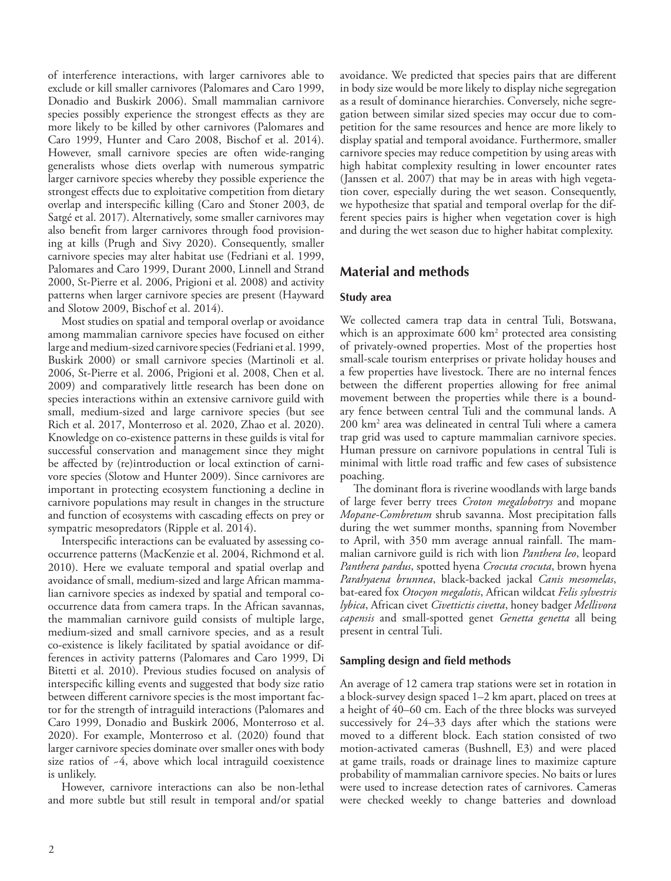of interference interactions, with larger carnivores able to exclude or kill smaller carnivores (Palomares and Caro 1999, Donadio and Buskirk 2006). Small mammalian carnivore species possibly experience the strongest effects as they are more likely to be killed by other carnivores (Palomares and Caro 1999, Hunter and Caro 2008, Bischof et al. 2014). However, small carnivore species are often wide-ranging generalists whose diets overlap with numerous sympatric larger carnivore species whereby they possible experience the strongest effects due to exploitative competition from dietary overlap and interspecific killing (Caro and Stoner 2003, de Satgé et al. 2017). Alternatively, some smaller carnivores may also benefit from larger carnivores through food provisioning at kills (Prugh and Sivy 2020). Consequently, smaller carnivore species may alter habitat use (Fedriani et al. 1999, Palomares and Caro 1999, Durant 2000, Linnell and Strand 2000, St-Pierre et al. 2006, Prigioni et al. 2008) and activity patterns when larger carnivore species are present (Hayward and Slotow 2009, Bischof et al. 2014).

Most studies on spatial and temporal overlap or avoidance among mammalian carnivore species have focused on either large and medium-sized carnivore species (Fedrianiet al. 1999, Buskirk 2000) or small carnivore species (Martinoli et al. 2006, St-Pierre et al. 2006, Prigioni et al. 2008, Chen et al. 2009) and comparatively little research has been done on species interactions within an extensive carnivore guild with small, medium-sized and large carnivore species (but see Rich et al. 2017, Monterroso et al. 2020, Zhao et al. 2020). Knowledge on co-existence patterns in these guilds is vital for successful conservation and management since they might be affected by (re)introduction or local extinction of carnivore species (Slotow and Hunter 2009). Since carnivores are important in protecting ecosystem functioning a decline in carnivore populations may result in changes in the structure and function of ecosystems with cascading effects on prey or sympatric mesopredators (Ripple et al. 2014).

Interspecific interactions can be evaluated by assessing cooccurrence patterns (MacKenzie et al. 2004, Richmond et al. 2010). Here we evaluate temporal and spatial overlap and avoidance of small, medium-sized and large African mammalian carnivore species as indexed by spatial and temporal cooccurrence data from camera traps. In the African savannas, the mammalian carnivore guild consists of multiple large, medium-sized and small carnivore species, and as a result co-existence is likely facilitated by spatial avoidance or differences in activity patterns (Palomares and Caro 1999, Di Bitetti et al. 2010). Previous studies focused on analysis of interspecific killing events and suggested that body size ratio between different carnivore species is the most important factor for the strength of intraguild interactions (Palomares and Caro 1999, Donadio and Buskirk 2006, Monterroso et al. 2020). For example, Monterroso et al. (2020) found that larger carnivore species dominate over smaller ones with body size ratios of ~4, above which local intraguild coexistence is unlikely.

However, carnivore interactions can also be non-lethal and more subtle but still result in temporal and/or spatial avoidance. We predicted that species pairs that are different in body size would be more likely to display niche segregation as a result of dominance hierarchies. Conversely, niche segregation between similar sized species may occur due to competition for the same resources and hence are more likely to display spatial and temporal avoidance. Furthermore, smaller carnivore species may reduce competition by using areas with high habitat complexity resulting in lower encounter rates (Janssen et al. 2007) that may be in areas with high vegetation cover, especially during the wet season. Consequently, we hypothesize that spatial and temporal overlap for the different species pairs is higher when vegetation cover is high and during the wet season due to higher habitat complexity.

# **Material and methods**

#### **Study area**

We collected camera trap data in central Tuli, Botswana, which is an approximate 600 km<sup>2</sup> protected area consisting of privately-owned properties. Most of the properties host small-scale tourism enterprises or private holiday houses and a few properties have livestock. There are no internal fences between the different properties allowing for free animal movement between the properties while there is a boundary fence between central Tuli and the communal lands. A 200 km2 area was delineated in central Tuli where a camera trap grid was used to capture mammalian carnivore species. Human pressure on carnivore populations in central Tuli is minimal with little road traffic and few cases of subsistence poaching.

The dominant flora is riverine woodlands with large bands of large fever berry trees *Croton megalobotrys* and mopane *Mopane-Combretum* shrub savanna. Most precipitation falls during the wet summer months, spanning from November to April, with 350 mm average annual rainfall. The mammalian carnivore guild is rich with lion *Panthera leo*, leopard *Panthera pardus*, spotted hyena *Crocuta crocuta*, brown hyena *Parahyaena brunnea*, black-backed jackal *Canis mesomelas*, bat-eared fox *Otocyon megalotis*, African wildcat *Felis sylvestris lybica*, African civet *Civettictis civetta*, honey badger *Mellivora capensis* and small-spotted genet *Genetta genetta* all being present in central Tuli.

#### **Sampling design and field methods**

An average of 12 camera trap stations were set in rotation in a block-survey design spaced 1–2 km apart, placed on trees at a height of 40–60 cm. Each of the three blocks was surveyed successively for 24–33 days after which the stations were moved to a different block. Each station consisted of two motion-activated cameras (Bushnell, E3) and were placed at game trails, roads or drainage lines to maximize capture probability of mammalian carnivore species. No baits or lures were used to increase detection rates of carnivores. Cameras were checked weekly to change batteries and download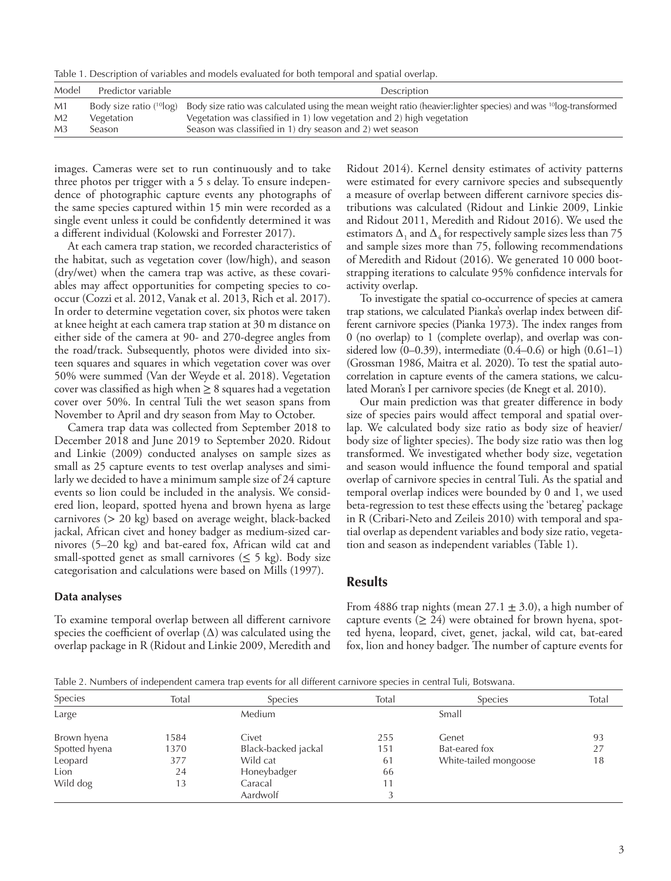Table 1. Description of variables and models evaluated for both temporal and spatial overlap.

| Model          | Predictor variable | Description                                                                                                                                                     |
|----------------|--------------------|-----------------------------------------------------------------------------------------------------------------------------------------------------------------|
| M1             |                    | Body size ratio ( <sup>10</sup> log) Body size ratio was calculated using the mean weight ratio (heavier:lighter species) and was <sup>10</sup> log-transformed |
| M <sub>2</sub> | Vegetation         | Vegetation was classified in 1) low vegetation and 2) high vegetation                                                                                           |
| M <sub>3</sub> | Season             | Season was classified in 1) dry season and 2) wet season                                                                                                        |

images. Cameras were set to run continuously and to take three photos per trigger with a 5 s delay. To ensure independence of photographic capture events any photographs of the same species captured within 15 min were recorded as a single event unless it could be confidently determined it was a different individual (Kolowski and Forrester 2017).

At each camera trap station, we recorded characteristics of the habitat, such as vegetation cover (low/high), and season (dry/wet) when the camera trap was active, as these covariables may affect opportunities for competing species to cooccur (Cozzi et al. 2012, Vanak et al. 2013, Rich et al. 2017). In order to determine vegetation cover, six photos were taken at knee height at each camera trap station at 30 m distance on either side of the camera at 90- and 270-degree angles from the road/track. Subsequently, photos were divided into sixteen squares and squares in which vegetation cover was over 50% were summed (Van der Weyde et al. 2018). Vegetation cover was classified as high when  $\geq 8$  squares had a vegetation cover over 50%. In central Tuli the wet season spans from November to April and dry season from May to October.

Camera trap data was collected from September 2018 to December 2018 and June 2019 to September 2020. Ridout and Linkie (2009) conducted analyses on sample sizes as small as 25 capture events to test overlap analyses and similarly we decided to have a minimum sample size of 24 capture events so lion could be included in the analysis. We considered lion, leopard, spotted hyena and brown hyena as large carnivores (> 20 kg) based on average weight, black-backed jackal, African civet and honey badger as medium-sized carnivores (5–20 kg) and bat-eared fox, African wild cat and small-spotted genet as small carnivores ( $\leq$  5 kg). Body size categorisation and calculations were based on Mills (1997).

**Data analyses**

To examine temporal overlap between all different carnivore species the coefficient of overlap  $(\Delta)$  was calculated using the overlap package in R (Ridout and Linkie 2009, Meredith and Ridout 2014). Kernel density estimates of activity patterns were estimated for every carnivore species and subsequently a measure of overlap between different carnivore species distributions was calculated (Ridout and Linkie 2009, Linkie and Ridout 2011, Meredith and Ridout 2016). We used the estimators  $\Delta_1$  and  $\Delta_4$  for respectively sample sizes less than 75 and sample sizes more than 75, following recommendations of Meredith and Ridout (2016). We generated 10 000 bootstrapping iterations to calculate 95% confidence intervals for activity overlap.

To investigate the spatial co-occurrence of species at camera trap stations, we calculated Pianka's overlap index between different carnivore species (Pianka 1973). The index ranges from 0 (no overlap) to 1 (complete overlap), and overlap was considered low  $(0-0.39)$ , intermediate  $(0.4-0.6)$  or high  $(0.61-1)$ (Grossman 1986, Maitra et al. 2020). To test the spatial autocorrelation in capture events of the camera stations, we calculated Moran's I per carnivore species (de Knegt et al. 2010).

Our main prediction was that greater difference in body size of species pairs would affect temporal and spatial overlap. We calculated body size ratio as body size of heavier/ body size of lighter species). The body size ratio was then log transformed. We investigated whether body size, vegetation and season would influence the found temporal and spatial overlap of carnivore species in central Tuli. As the spatial and temporal overlap indices were bounded by 0 and 1, we used beta-regression to test these effects using the 'betareg' package in R (Cribari-Neto and Zeileis 2010) with temporal and spatial overlap as dependent variables and body size ratio, vegetation and season as independent variables (Table 1).

#### **Results**

From 4886 trap nights (mean  $27.1 \pm 3.0$ ), a high number of capture events  $(≥ 24)$  were obtained for brown hyena, spotted hyena, leopard, civet, genet, jackal, wild cat, bat-eared fox, lion and honey badger. The number of capture events for

Table 2. Numbers of independent camera trap events for all different carnivore species in central Tuli, Botswana.

| Species       | Total | <b>Species</b>      | Total | Species               | Total |
|---------------|-------|---------------------|-------|-----------------------|-------|
| Large         |       | Medium              |       | Small                 |       |
| Brown hyena   | 1584  | Civet               | 255   | Genet                 | 93    |
| Spotted hyena | 1370  | Black-backed jackal | 151   | Bat-eared fox         | 27    |
| Leopard       | 377   | Wild cat            | 61    | White-tailed mongoose | 18    |
| Lion          | 24    | Honeybadger         | 66    |                       |       |
| Wild dog      | 13    | Caracal             | 11    |                       |       |
|               |       | Aardwolf            |       |                       |       |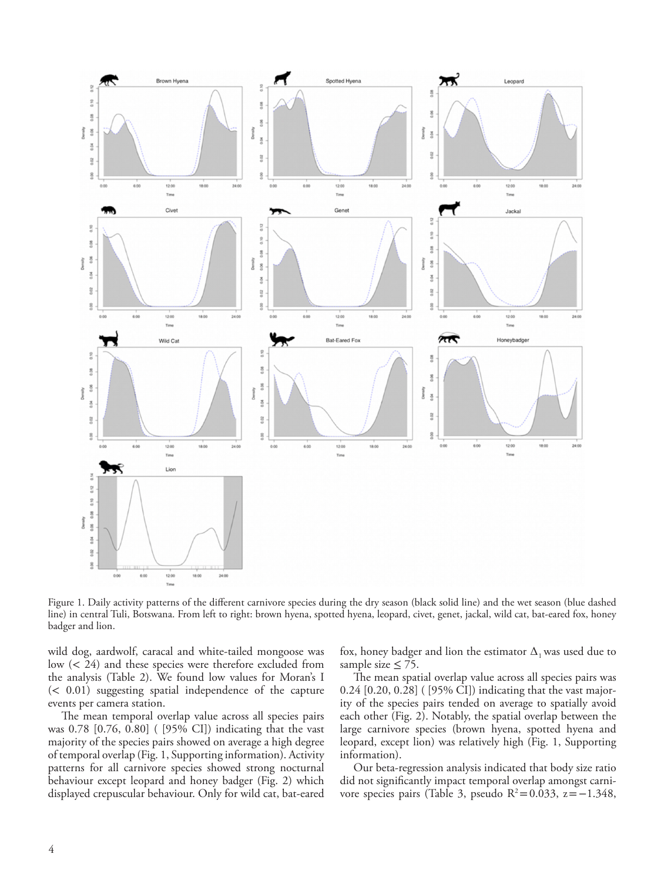

Figure 1. Daily activity patterns of the different carnivore species during the dry season (black solid line) and the wet season (blue dashed line) in central Tuli, Botswana. From left to right: brown hyena, spotted hyena, leopard, civet, genet, jackal, wild cat, bat-eared fox, honey badger and lion.

wild dog, aardwolf, caracal and white-tailed mongoose was low (< 24) and these species were therefore excluded from the analysis (Table 2). We found low values for Moran's I (< 0.01) suggesting spatial independence of the capture events per camera station.

The mean temporal overlap value across all species pairs was 0.78 [0.76, 0.80] ( [95% CI]) indicating that the vast majority of the species pairs showed on average a high degree of temporal overlap (Fig. 1, Supporting information). Activity patterns for all carnivore species showed strong nocturnal behaviour except leopard and honey badger (Fig. 2) which displayed crepuscular behaviour. Only for wild cat, bat-eared fox, honey badger and lion the estimator  $\Delta_1$  was used due to sample size  $\leq$  75.

The mean spatial overlap value across all species pairs was 0.24 [0.20, 0.28] ( [95% CI]) indicating that the vast majority of the species pairs tended on average to spatially avoid each other (Fig. 2). Notably, the spatial overlap between the large carnivore species (brown hyena, spotted hyena and leopard, except lion) was relatively high (Fig. 1, Supporting information).

Our beta-regression analysis indicated that body size ratio did not significantly impact temporal overlap amongst carnivore species pairs (Table 3, pseudo R<sup>2</sup>=0.033, z=−1.348,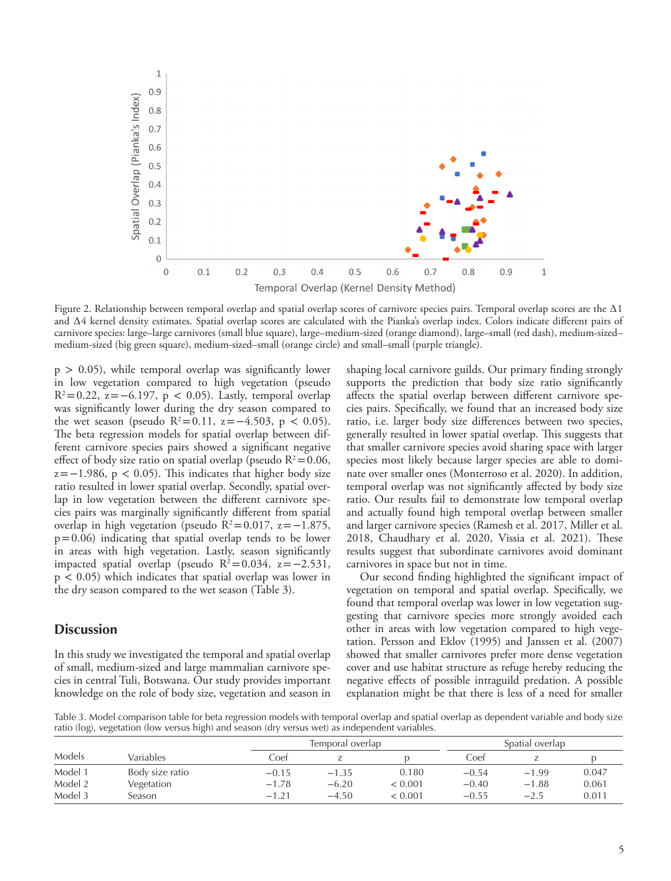

Figure 2. Relationship between temporal overlap and spatial overlap scores of carnivore species pairs. Temporal overlap scores are the ∆1 and ∆4 kernel density estimates. Spatial overlap scores are calculated with the Pianka's overlap index. Colors indicate different pairs of carnivore species: large–large carnivores (small blue square), large–medium-sized (orange diamond), large–small (red dash), medium-sized– medium-sized (big green square), medium-sized–small (orange circle) and small–small (purple triangle).

 $p > 0.05$ ), while temporal overlap was significantly lower in low vegetation compared to high vegetation (pseudo  $R^2=0.22$ ,  $z=-6.197$ ,  $p < 0.05$ ). Lastly, temporal overlap was significantly lower during the dry season compared to the wet season (pseudo R<sup>2</sup>=0.11, z=−4.503, p < 0.05). The beta regression models for spatial overlap between different carnivore species pairs showed a significant negative effect of body size ratio on spatial overlap (pseudo  $R^2=0.06$ ,  $z=-1.986$ ,  $p < 0.05$ ). This indicates that higher body size ratio resulted in lower spatial overlap. Secondly, spatial overlap in low vegetation between the different carnivore species pairs was marginally significantly different from spatial overlap in high vegetation (pseudo  $R^2=0.017$ ,  $z=-1.875$ ,  $p=0.06$ ) indicating that spatial overlap tends to be lower in areas with high vegetation. Lastly, season significantly impacted spatial overlap (pseudo  $R^2=0.034$ ,  $z=-2.531$ ,  $p < 0.05$ ) which indicates that spatial overlap was lower in the dry season compared to the wet season (Table 3).

### **Discussion**

In this study we investigated the temporal and spatial overlap of small, medium-sized and large mammalian carnivore species in central Tuli, Botswana. Our study provides important knowledge on the role of body size, vegetation and season in shaping local carnivore guilds. Our primary finding strongly supports the prediction that body size ratio significantly affects the spatial overlap between different carnivore species pairs. Specifically, we found that an increased body size ratio, i.e. larger body size differences between two species, generally resulted in lower spatial overlap. This suggests that that smaller carnivore species avoid sharing space with larger species most likely because larger species are able to dominate over smaller ones (Monterroso et al. 2020). In addition, temporal overlap was not significantly affected by body size ratio. Our results fail to demonstrate low temporal overlap and actually found high temporal overlap between smaller and larger carnivore species (Ramesh et al. 2017, Miller et al. 2018, Chaudhary et al. 2020, Vissia et al. 2021). These results suggest that subordinate carnivores avoid dominant carnivores in space but not in time.

Our second finding highlighted the significant impact of vegetation on temporal and spatial overlap. Specifically, we found that temporal overlap was lower in low vegetation suggesting that carnivore species more strongly avoided each other in areas with low vegetation compared to high vegetation. Persson and Eklov (1995) and Janssen et al. (2007) showed that smaller carnivores prefer more dense vegetation cover and use habitat structure as refuge hereby reducing the negative effects of possible intraguild predation. A possible explanation might be that there is less of a need for smaller

Table 3. Model comparison table for beta regression models with temporal overlap and spatial overlap as dependent variable and body size ratio (log), vegetation (low versus high) and season (dry versus wet) as independent variables.

|         |                 |         | Temporal overlap |         |         | Spatial overlap |       |  |
|---------|-----------------|---------|------------------|---------|---------|-----------------|-------|--|
| Models  | Variables       | Coef    |                  |         | Coef    |                 |       |  |
| Model 1 | Body size ratio | $-0.15$ | $-1.35$          | 0.180   | $-0.54$ | $-1.99$         | 0.047 |  |
| Model 2 | Vegetation      | $-1.78$ | $-6.20$          | < 0.001 | $-0.40$ | $-1.88$         | 0.061 |  |
| Model 3 | Season          | $-1.27$ | $-4.50$          | < 0.001 | $-0.55$ | $-2.5$          | 0.011 |  |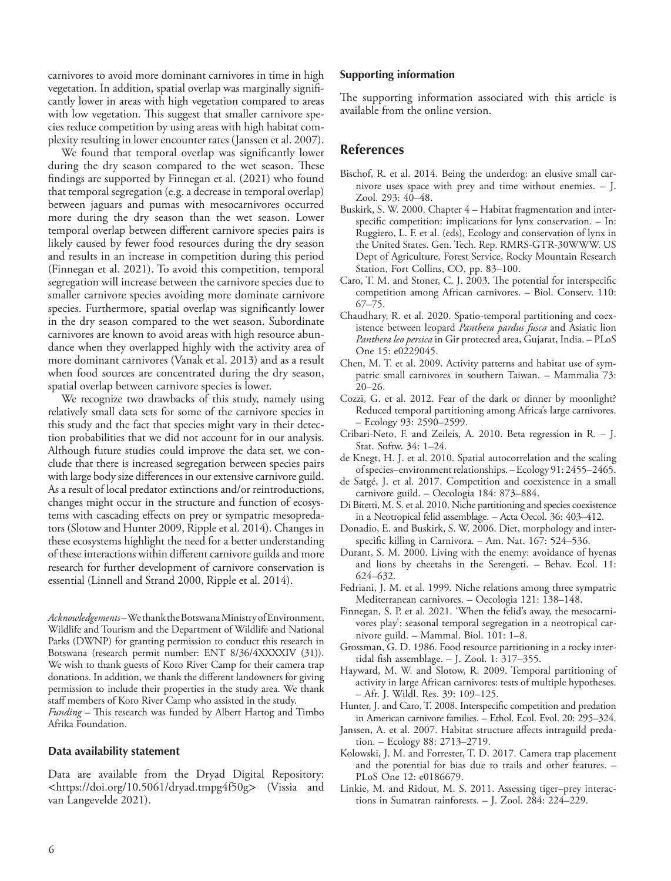carnivores to avoid more dominant carnivores in time in high vegetation. In addition, spatial overlap was marginally significantly lower in areas with high vegetation compared to areas with low vegetation. This suggest that smaller carnivore species reduce competition by using areas with high habitat complexity resulting in lower encounter rates (Janssen et al. 2007).

We found that temporal overlap was significantly lower during the dry season compared to the wet season. These findings are supported by Finnegan et al. (2021) who found that temporal segregation (e.g. a decrease in temporal overlap) between jaguars and pumas with mesocarnivores occurred more during the dry season than the wet season. Lower temporal overlap between different carnivore species pairs is likely caused by fewer food resources during the dry season and results in an increase in competition during this period (Finnegan et al. 2021). To avoid this competition, temporal segregation will increase between the carnivore species due to smaller carnivore species avoiding more dominate carnivore species. Furthermore, spatial overlap was significantly lower in the dry season compared to the wet season. Subordinate carnivores are known to avoid areas with high resource abundance when they overlapped highly with the activity area of more dominant carnivores (Vanak et al. 2013) and as a result when food sources are concentrated during the dry season, spatial overlap between carnivore species is lower.

We recognize two drawbacks of this study, namely using relatively small data sets for some of the carnivore species in this study and the fact that species might vary in their detection probabilities that we did not account for in our analysis. Although future studies could improve the data set, we conclude that there is increased segregation between species pairs with large body size differences in our extensive carnivore guild. As a result of local predator extinctions and/or reintroductions, changes might occur in the structure and function of ecosystems with cascading effects on prey or sympatric mesopredators (Slotow and Hunter 2009, Ripple et al. 2014). Changes in these ecosystems highlight the need for a better understanding of these interactions within different carnivore guilds and more research for further development of carnivore conservation is essential (Linnell and Strand 2000, Ripple et al. 2014).

*Acknowledgements* – We thank the Botswana Ministry of Environment, Wildlife and Tourism and the Department of Wildlife and National Parks (DWNP) for granting permission to conduct this research in Botswana (research permit number: ENT 8/36/4XXXXIV (31)). We wish to thank guests of Koro River Camp for their camera trap donations. In addition, we thank the different landowners for giving permission to include their properties in the study area. We thank staff members of Koro River Camp who assisted in the study. *Funding* – This research was funded by Albert Hartog and Timbo Afrika Foundation.

#### **Data availability statement**

Data are available from the Dryad Digital Repository: <https://doi.org/10.5061/dryad.tmpg4f50g> (Vissia and van Langevelde 2021).

#### **Supporting information**

The supporting information associated with this article is available from the online version.

#### **References**

- Bischof, R. et al. 2014. Being the underdog: an elusive small carnivore uses space with prey and time without enemies. – J. Zool. 293: 40–48.
- Buskirk, S. W. 2000. Chapter 4 Habitat fragmentation and interspecific competition: implications for lynx conservation. – In: Ruggiero, L. F. et al. (eds), Ecology and conservation of lynx in the United States. Gen. Tech. Rep. RMRS-GTR-30WWW. US Dept of Agriculture, Forest Service, Rocky Mountain Research Station, Fort Collins, CO, pp. 83–100.
- Caro, T. M. and Stoner, C. J. 2003. The potential for interspecific competition among African carnivores. – Biol. Conserv. 110: 67–75.
- Chaudhary, R. et al. 2020. Spatio-temporal partitioning and coexistence between leopard *Panthera pardus fusca* and Asiatic lion *Panthera leo persica* in Gir protected area, Gujarat, India. – PLoS One 15: e0229045.
- Chen, M. T. et al. 2009. Activity patterns and habitat use of sympatric small carnivores in southern Taiwan. – Mammalia 73: 20–26.
- Cozzi, G. et al. 2012. Fear of the dark or dinner by moonlight? Reduced temporal partitioning among Africa's large carnivores. – Ecology 93: 2590–2599.
- Cribari-Neto, F. and Zeileis, A. 2010. Beta regression in R. J. Stat. Softw. 34: 1–24.
- de Knegt, H. J. et al. 2010. Spatial autocorrelation and the scaling of species–environment relationships. – Ecology 91: 2455–2465.
- de Satgé, J. et al. 2017. Competition and coexistence in a small carnivore guild. – Oecologia 184: 873–884.
- Di Bitetti, M. S. et al. 2010. Niche partitioning and species coexistence in a Neotropical felid assemblage. – Acta Oecol. 36: 403–412.
- Donadio, E. and Buskirk, S. W. 2006. Diet, morphology and interspecific killing in Carnivora. – Am. Nat. 167: 524–536.
- Durant, S. M. 2000. Living with the enemy: avoidance of hyenas and lions by cheetahs in the Serengeti. – Behav. Ecol. 11: 624–632.
- Fedriani, J. M. et al. 1999. Niche relations among three sympatric Mediterranean carnivores. – Oecologia 121: 138–148.
- Finnegan, S. P. et al. 2021. 'When the felid's away, the mesocarnivores play': seasonal temporal segregation in a neotropical carnivore guild. – Mammal. Biol. 101: 1–8.
- Grossman, G. D. 1986. Food resource partitioning in a rocky intertidal fish assemblage. – J. Zool. 1: 317–355.
- Hayward, M. W. and Slotow, R. 2009. Temporal partitioning of activity in large African carnivores: tests of multiple hypotheses. – Afr. J. Wildl. Res. 39: 109–125.
- Hunter, J. and Caro, T. 2008. Interspecific competition and predation in American carnivore families. – Ethol. Ecol. Evol. 20: 295–324.
- Janssen, A. et al. 2007. Habitat structure affects intraguild predation. – Ecology 88: 2713–2719.
- Kolowski, J. M. and Forrester, T. D. 2017. Camera trap placement and the potential for bias due to trails and other features. – PLoS One 12: e0186679.
- Linkie, M. and Ridout, M. S. 2011. Assessing tiger–prey interactions in Sumatran rainforests. – J. Zool. 284: 224–229.